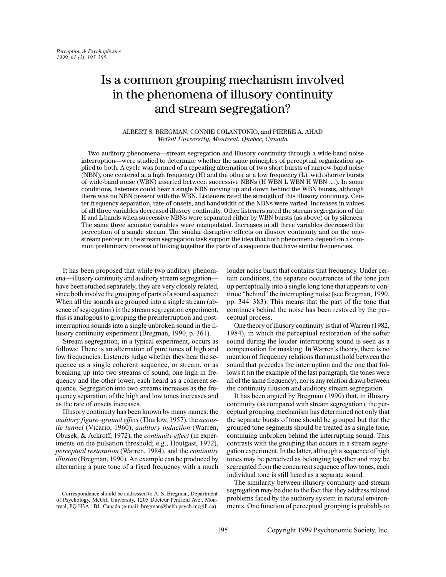# Is a common grouping mechanism involved in the phenomena of illusory continuity and stream segregation?

## ALBERT S. BREGMAN, CONNIE COLANTONIO, and PIERRE A. AHAD *McGill University, Montreal, Quebec, Canada*

Two auditory phenomena—stream segregation and illusory continuity through a wide-band noise interruption—were studied to determine whether the same principles of perceptual organization applied to both. A cycle was formed of a repeating alternation of two short bursts of narrow-band noise (NBN), one centered at a high frequency (H) and the other at a low frequency (L), with shorter bursts of wide-band noise (WBN) inserted between successive NBNs (H WBN L WBN H WBN . . .). In some conditions, listeners could hear a single NBN moving up and down behind the WBN bursts, although there was no NBN present with the WBN. Listeners rated the strength of this illusory continuity. Center frequency separation, rate of onsets, and bandwidth of the NBNs were varied. Increases in values of all three variables decreased illusory continuity. Other listeners rated the stream segregation of the H and L bands when successive NBNs were separated either by WBN bursts (as above) or by silences. The same three acoustic variables were manipulated. Increases in all three variables decreased the perception of a single stream. The similar disruptive effects on illusory continuity and on the onestream percept in the stream segregation task support the idea that both phenomena depend on a common preliminary process of linking together the parts of a sequence that have similar frequencies.

It has been proposed that while two auditory phenomena—illusory continuity and auditory stream segregation have been studied separately, they are very closely related, since both involve the grouping of parts of a sound sequence: When all the sounds are grouped into a single stream (absence of segregation) in the stream segregation experiment, this is analogous to grouping the preinterruption and postinterruption sounds into a single unbroken sound in the illusory continuity experiment (Bregman, 1990, p. 361).

Stream segregation, in a typical experiment, occurs as follows: There is an alternation of pure tones of high and low frequencies. Listeners judge whether they hear the sequence as a single coherent sequence, or stream, or as breaking up into two streams of sound, one high in frequency and the other lower, each heard as a coherent sequence. Segregation into two streams increases as the frequency separation of the high and low tones increases and as the rate of onsets increases.

Illusory continuity has been known by many names: the *auditory figure–ground effect* (Thurlow, 1957), the *acoustic tunnel* (Vicario, 1960), *auditory induction* (Warren, Obusek, & Ackroff, 1972), the *continuity effect* (in experiments on the pulsation threshold; e.g., Houtgast, 1972), *perceptual restoration* (Warren, 1984), and the *continuity illusion* (Bregman, 1990). An example can be produced by alternating a pure tone of a fixed frequency with a much

louder noise burst that contains that frequency. Under certain conditions, the separate occurrences of the tone join up perceptually into a single long tone that appears to continue "behind" the interrupting noise (see Bregman, 1990, pp. 344–383). This means that the part of the tone that continues behind the noise has been restored by the perceptual process.

One theory of illusory continuity is that of Warren (1982, 1984), in which the perceptual restoration of the softer sound during the louder interrupting sound is seen as a compensation for masking. In Warren's theory, there is no mention of frequency relations that must hold between the sound that precedes the interruption and the one that follows it (in the example of the last paragraph, the tones were all of the same frequency), nor is any relation drawn between the continuity illusion and auditory stream segregation.

It has been argued by Bregman (1990) that, in illusory continuity (as compared with stream segregation), the perceptual grouping mechanism has determined not only that the separate bursts of tone should be grouped but that the grouped tone segments should be treated as a single tone, continuing unbroken behind the interrupting sound. This contrasts with the grouping that occurs in a stream segregation experiment. In the latter, although a sequence of high tones may be perceived as belonging together and may be segregated from the concurrent sequence of low tones, each individual tone is still heard as a separate sound.

The similarity between illusory continuity and stream segregation may be due to the fact that they address related problems faced by the auditory system in natural environments. One function of perceptual grouping is probably to

Correspondence should be addressed to A. S. Bregman, Department of Psychology, McGill University, 1205 Docteur Penfield Ave., Montreal, PQ H3A 1B1, Canada (e-mail: bregman@hebb.psych.mcgill.ca).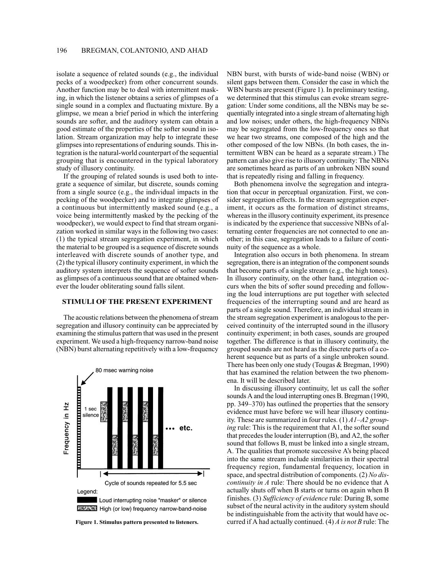isolate a sequence of related sounds (e.g., the individual pecks of a woodpecker) from other concurrent sounds. Another function may be to deal with intermittent masking, in which the listener obtains a series of glimpses of a single sound in a complex and fluctuating mixture. By a glimpse, we mean a brief period in which the interfering sounds are softer, and the auditory system can obtain a good estimate of the properties of the softer sound in isolation. Stream organization may help to integrate these glimpses into representations of enduring sounds. This integration is the natural-world counterpart of the sequential grouping that is encountered in the typical laboratory study of illusory continuity.

If the grouping of related sounds is used both to integrate a sequence of similar, but discrete, sounds coming from a single source (e.g., the individual impacts in the pecking of the woodpecker) and to integrate glimpses of a continuous but intermittently masked sound (e.g., a voice being intermittently masked by the pecking of the woodpecker), we would expect to find that stream organization worked in similar ways in the following two cases: (1) the typical stream segregation experiment, in which the material to be grouped is a sequence of discrete sounds interleaved with discrete sounds of another type, and (2) the typical illusory continuity experiment, in which the auditory system interprets the sequence of softer sounds as glimpses of a continuous sound that are obtained whenever the louder obliterating sound falls silent.

## **STIMULI OF THE PRESENT EXPERIMENT**

The acoustic relations between the phenomena of stream segregation and illusory continuity can be appreciated by examining the stimulus pattern that was used in the present experiment. We used a high-frequency narrow-band noise (NBN) burst alternating repetitively with a low-frequency



NBN burst, with bursts of wide-band noise (WBN) or silent gaps between them. Consider the case in which the WBN bursts are present (Figure 1). In preliminary testing, we determined that this stimulus can evoke stream segregation: Under some conditions, all the NBNs may be sequentially integrated into a single stream of alternating high and low noises; under others, the high-frequency NBNs may be segregated from the low-frequency ones so that we hear two streams, one composed of the high and the other composed of the low NBNs. (In both cases, the intermittent WBN can be heard as a separate stream.) The pattern can also give rise to illusory continuity: The NBNs are sometimes heard as parts of an unbroken NBN sound that is repeatedly rising and falling in frequency.

Both phenomena involve the segregation and integration that occur in perceptual organization. First, we consider segregation effects. In the stream segregation experiment, it occurs as the formation of distinct streams, whereas in the illusory continuity experiment, its presence is indicated by the experience that successive NBNs of alternating center frequencies are not connected to one another; in this case, segregation leads to a failure of continuity of the sequence as a whole.

Integration also occurs in both phenomena. In stream segregation, there is an integration of the component sounds that become parts of a single stream (e.g., the high tones). In illusory continuity, on the other hand, integration occurs when the bits of softer sound preceding and following the loud interruptions are put together with selected frequencies of the interrupting sound and are heard as parts of a single sound. Therefore, an individual stream in the stream segregation experiment is analogous to the perceived continuity of the interrupted sound in the illusory continuity experiment; in both cases, sounds are grouped together. The difference is that in illusory continuity, the grouped sounds are not heard as the discrete parts of a coherent sequence but as parts of a single unbroken sound. There has been only one study (Tougas & Bregman, 1990) that has examined the relation between the two phenomena. It will be described later.

In discussing illusory continuity, let us call the softer sounds A and the loud interrupting ones B. Bregman (1990, pp. 349–370) has outlined the properties that the sensory evidence must have before we will hear illusory continuity. These are summarized in four rules. (1) *A1–A2 grouping rule:* This is the requirement that A1, the softer sound that precedes the louder interruption (B), and A2, the softer sound that follows B, must be linked into a single stream, A. The qualities that promote successive A's being placed into the same stream include similarities in their spectral frequency region, fundamental frequency, location in space, and spectral distribution of components. (2) *No discontinuity in A* rule: There should be no evidence that A actually shuts off when B starts or turns on again when B finishes. (3) *Sufficiency of evidence* rule: During B, some subset of the neural activity in the auditory system should be indistinguishable from the activity that would have oc-**Figure 1. Stimulus pattern presented to listeners.** curred if A had actually continued. (4) *A is not B* rule: The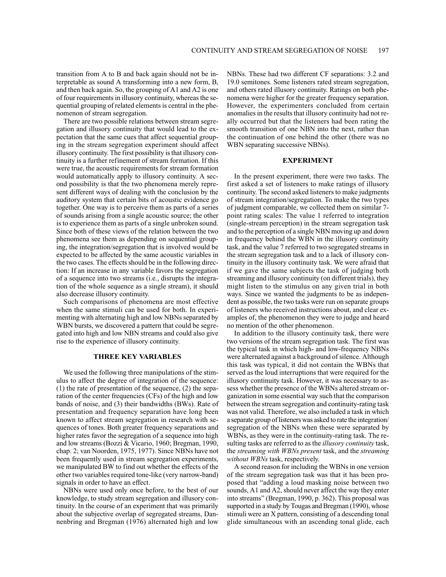transition from A to B and back again should not be interpretable as sound A transforming into a new form, B, and then back again. So, the grouping of A1 and A2 is one of four requirements in illusory continuity, whereas the sequential grouping of related elements is central in the phenomenon of stream segregation.

There are two possible relations between stream segregation and illusory continuity that would lead to the expectation that the same cues that affect sequential grouping in the stream segregation experiment should affect illusory continuity. The first possibility is that illusory continuity is a further refinement of stream formation. If this were true, the acoustic requirements for stream formation would automatically apply to illusory continuity. A second possibility is that the two phenomena merely represent different ways of dealing with the conclusion by the auditory system that certain bits of acoustic evidence go together. One way is to perceive them as parts of a series of sounds arising from a single acoustic source; the other is to experience them as parts of a single unbroken sound. Since both of these views of the relation between the two phenomena see them as depending on sequential grouping, the integration/segregation that is involved would be expected to be affected by the same acoustic variables in the two cases. The effects should be in the following direction: If an increase in any variable favors the segregation of a sequence into two streams (i.e., disrupts the integration of the whole sequence as a single stream), it should also decrease illusory continuity.

Such comparisons of phenomena are most effective when the same stimuli can be used for both. In experimenting with alternating high and low NBNs separated by WBN bursts, we discovered a pattern that could be segregated into high and low NBN streams and could also give rise to the experience of illusory continuity.

# **THREE KEY VARIABLES**

We used the following three manipulations of the stimulus to affect the degree of integration of the sequence: (1) the rate of presentation of the sequence, (2) the separation of the center frequencies (CFs) of the high and low bands of noise, and (3) their bandwidths (BWs). Rate of presentation and frequency separation have long been known to affect stream segregation in research with sequences of tones. Both greater frequency separations and higher rates favor the segregation of a sequence into high and low streams (Bozzi & Vicario, 1960; Bregman, 1990, chap. 2; van Noorden, 1975, 1977). Since NBNs have not been frequently used in stream segregation experiments, we manipulated BW to find out whether the effects of the other two variables required tone-like (very narrow-band) signals in order to have an effect.

NBNs were used only once before, to the best of our knowledge, to study stream segregation and illusory continuity. In the course of an experiment that was primarily about the subjective overlap of segregated streams, Dannenbring and Bregman (1976) alternated high and low NBNs. These had two different CF separations: 3.2 and 19.0 semitones. Some listeners rated stream segregation, and others rated illusory continuity. Ratings on both phenomena were higher for the greater frequency separation. However, the experimenters concluded from certain anomalies in the results that illusory continuity had not really occurred but that the listeners had been rating the smooth transition of one NBN into the next, rather than the continuation of one behind the other (there was no WBN separating successive NBNs).

# **EXPERIMENT**

In the present experiment, there were two tasks. The first asked a set of listeners to make ratings of illusory continuity. The second asked listeners to make judgments of stream integration/segregation. To make the two types of judgment comparable, we collected them on similar 7 point rating scales: The value 1 referred to integration (single-stream perception) in the stream segregation task and to the perception of a single NBN moving up and down in frequency behind the WBN in the illusory continuity task, and the value 7 referred to two segregated streams in the stream segregation task and to a lack of illusory continuity in the illusory continuity task. We were afraid that if we gave the same subjects the task of judging both streaming and illusory continuity (on different trials), they might listen to the stimulus on any given trial in both ways. Since we wanted the judgments to be as independent as possible, the two tasks were run on separate groups of listeners who received instructions about, and clear examples of, the phenomenon they were to judge and heard no mention of the other phenomenon.

In addition to the illusory continuity task, there were two versions of the stream segregation task. The first was the typical task in which high- and low-frequency NBNs were alternated against a background of silence. Although this task was typical, it did not contain the WBNs that served as the loud interruptions that were required for the illusory continuity task. However, it was necessary to assess whether the presence of the WBNs altered stream organization in some essential way such that the comparison between the stream segregation and continuity-rating task was not valid. Therefore, we also included a task in which a separate group of listeners was asked to rate the integration/ segregation of the NBNs when these were separated by WBNs, as they were in the continuity-rating task. The resulting tasks are referred to as the *illusory continuity* task, the *streaming with WBNs present* task, and the *streaming without WBNs* task, respectively.

A second reason for including the WBNs in one version of the stream segregation task was that it has been proposed that "adding a loud masking noise between two sounds, A1 and A2, should never affect the way they enter into streams" (Bregman, 1990, p. 362). This proposal was supported in a study by Tougas and Bregman (1990), whose stimuli were an X pattern, consisting of a descending tonal glide simultaneous with an ascending tonal glide, each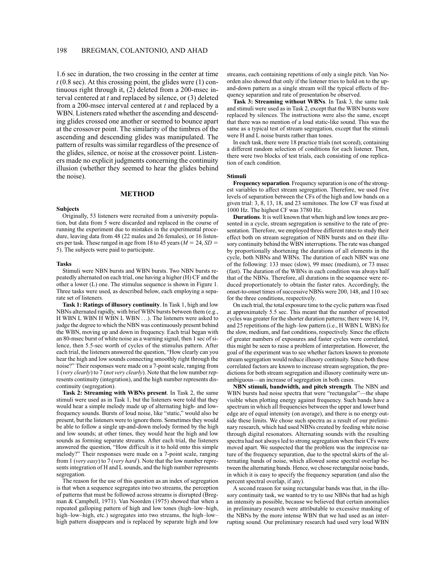1.6 sec in duration, the two crossing in the center at time *t* (0.8 sec). At this crossing point, the glides were (1) continuous right through it, (2) deleted from a 200-msec interval centered at *t* and replaced by silence, or (3) deleted from a 200-msec interval centered at *t* and replaced by a WBN. Listeners rated whether the ascending and descending glides crossed one another or seemed to bounce apart at the crossover point. The similarity of the timbres of the ascending and descending glides was manipulated. The pattern of results was similar regardless of the presence of the glides, silence, or noise at the crossover point. Listeners made no explicit judgments concerning the continuity illusion (whether they seemed to hear the glides behind the noise).

## **METHOD**

## **Subjects**

Originally, 53 listeners were recruited from a university population, but data from 5 were discarded and replaced in the course of running the experiment due to mistakes in the experimental procedure, leaving data from 48 (22 males and 26 females), or 16 listeners per task. These ranged in age from 18 to 45 years  $(M = 24, SD =$ 5). The subjects were paid to participate.

#### **Tasks**

Stimuli were NBN bursts and WBN bursts. Two NBN bursts repeatedly alternated on each trial, one having a higher (H) CF and the other a lower (L) one. The stimulus sequence is shown in Figure 1. Three tasks were used, as described below, each employing a separate set of listeners.

**Task 1: Ratings of illusory continuity**. In Task 1, high and low NBNs alternated rapidly, with brief WBN bursts between them (e.g., H WBN L WBN H WBN L WBN . . .). The listeners were asked to judge the degree to which the NBN was continuously present behind the WBN, moving up and down in frequency. Each trial began with an 80-msec burst of white noise as a warning signal, then 1 sec of silence, then 5.5-sec worth of cycles of the stimulus pattern. After each trial, the listeners answered the question, "How clearly can you hear the high and low sounds connecting smoothly right through the noise?" Their responses were made on a 7-point scale, ranging from 1 (*very clearly*) to 7 (*not very clearly*). Note that the low number represents continuity (integration), and the high number represents discontinuity (segregation).

**Task 2: Streaming with WBNs present**. In Task 2, the same stimuli were used as in Task 1, but the listeners were told that they would hear a simple melody made up of alternating high- and lowfrequency sounds. Bursts of loud noise, like "static," would also be present, but the listeners were to ignore them. Sometimes they would be able to follow a single up-and-down melody formed by the high and low sounds; at other times, they would hear the high and low sounds as forming separate streams. After each trial, the listeners answered the question, "How difficult is it to hold onto this simple melody?" Their responses were made on a 7-point scale, ranging from 1 (*very easy*) to 7 (*very hard* ). Note that the low number represents integration of H and L sounds, and the high number represents segregation.

The reason for the use of this question as an index of segregation is that when a sequence segregates into two streams, the perception of patterns that must be followed across streams is disrupted (Bregman & Campbell, 1971). Van Noorden (1975) showed that when a repeated galloping pattern of high and low tones (high–low–high, high–low–high, etc.) segregates into two streams, the high–low– high pattern disappears and is replaced by separate high and low

streams, each containing repetitions of only a single pitch. Van Noorden also showed that only if the listener tries to hold on to the upand-down pattern as a single stream will the typical effects of frequency separation and rate of presentation be observed.

**Task 3: Streaming without WBNs**. In Task 3, the same task and stimuli were used as in Task 2, except that the WBN bursts were replaced by silences. The instructions were also the same, except that there was no mention of a loud static-like sound. This was the same as a typical test of stream segregation, except that the stimuli were H and L noise bursts rather than tones.

In each task, there were 18 practice trials (not scored), containing a different random selection of conditions for each listener. Then, there were two blocks of test trials, each consisting of one replication of each condition.

#### **Stimuli**

**Frequency separation**. Frequency separation is one of the strongest variables to affect stream segregation. Therefore, we used five levels of separation between the CFs of the high and low bands on a given trial: 3, 8, 13, 18, and 23 semitones. The low CF was fixed at 1000 Hz. The highest CF was 3780 Hz.

**Durations**. It is well known that when high and low tones are presented in a cycle, stream segregation is sensitive to the rate of presentation. Therefore, we employed three different rates to study their effect both on stream segregation of NBN bursts and on their illusory continuity behind the WBN interruptions. The rate was changed by proportionally shortening the durations of all elements in the cycle, both NBNs and WBNs. The duration of each NBN was one of the following: 133 msec (slow), 99 msec (medium), or 73 msec (fast). The duration of the WBNs in each condition was always half that of the NBNs. Therefore, all durations in the sequence were reduced proportionately to obtain the faster rates. Accordingly, the onset-to-onset times of successive NBNs were 200, 148, and 110 sec for the three conditions, respectively.

On each trial, the total exposure time to the cyclic pattern was fixed at approximately 5.5 sec. This meant that the number of presented cycles was greater for the shorter duration patterns; there were 14, 19, and 25 repetitions of the high–low pattern (i.e., H WBN L WBN) for the slow, medium, and fast conditions, respectively. Since the effects of greater numbers of exposures and faster cycles were correlated, this might be seen to raise a problem of interpretation. However, the goal of the experiment was to see whether factors known to promote stream segregation would reduce illusory continuity. Since both these correlated factors are known to increase stream segregation, the predictions for both stream segregation and illusory continuity were unambiguous—an increase of segregation in both cases.

**NBN stimuli, bandwidth, and pitch strength**. The NBN and WBN bursts had noise spectra that were "rectangular"—the shape visible when plotting energy against frequency. Such bands have a spectrum in which all frequencies between the upper and lower band edge are of equal intensity (on average), and there is no energy outside these limits. We chose such spectra as a result of our preliminary research, which had used NBNs created by feeding white noise through digital resonators. Alternating sounds with the resulting spectra had not always led to strong segregation when their CFs were moved apart. We suspected that the problem was the imprecise nature of the frequency separation, due to the spectral skirts of the alternating bands of noise, which allowed some spectral overlap between the alternating bands. Hence, we chose rectangular noise bands, in which it is easy to specify the frequency separation (and also the percent spectral overlap, if any).

A second reason for using rectangular bands was that, in the illusory continuity task, we wanted to try to use NBNs that had as high an intensity as possible, because we believed that certain anomalies in preliminary research were attributable to excessive masking of the NBNs by the more intense WBN that we had used as an interrupting sound. Our preliminary research had used very loud WBN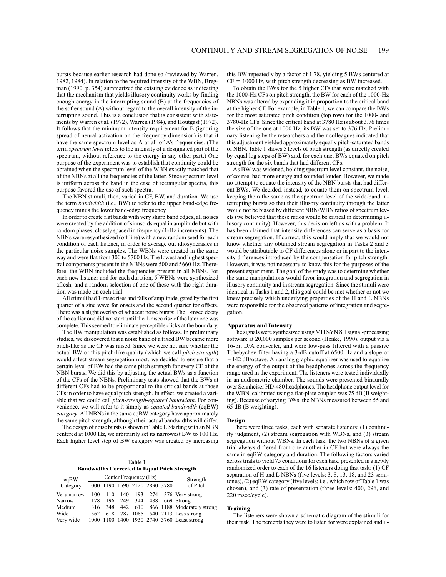bursts because earlier research had done so (reviewed by Warren, 1982, 1984). In relation to the required intensity of the WBN, Bregman (1990, p. 354) summarized the existing evidence as indicating that the mechanism that yields illusory continuity works by finding enough energy in the interrupting sound (B) at the frequencies of the softer sound (A) without regard to the overall intensity of the interrupting sound. This is a conclusion that is consistent with statements by Warren et al. (1972), Warren (1984), and Houtgast (1972). It follows that the minimum intensity requirement for B (ignoring spread of neural activation on the frequency dimension) is that it have the same spectrum level as A at all of A's frequencies. (The term *spectrum level* refers to the intensity of a designated part of the spectrum, without reference to the energy in any other part.) One purpose of the experiment was to establish that continuity could be obtained when the spectrum level of the WBN exactly matched that of the NBNs at all the frequencies of the latter. Since spectrum level is uniform across the band in the case of rectangular spectra, this purpose favored the use of such spectra.

The NBN stimuli, then, varied in CF, BW, and duration. We use the term *bandwidth* (i.e., BW) to refer to the upper band-edge frequency minus the lower band-edge frequency.

In order to create flat bands with very sharp band edges, all noises were created by the addition of sinusoids equal in amplitude but with random phases, closely spaced in frequency (1-Hz increments). The NBNs were resynthesized (off line) with a new random seed for each condition of each listener, in order to average out idiosyncrasies in the particular noise samples. The WBNs were created in the same way and were flat from 300 to 5700 Hz. The lowest and highest spectral components present in the NBNs were 500 and 5660 Hz. Therefore, the WBN included the frequencies present in all NBNs. For each new listener and for each duration, 5 WBNs were synthesized afresh, and a random selection of one of these with the right duration was made on each trial.

All stimuli had 1-msec rises and falls of amplitude, gated by the first quarter of a sine wave for onsets and the second quarter for offsets. There was a slight overlap of adjacent noise bursts: The 1-msec decay of the earlier one did not start until the 1-msec rise of the later one was complete. This seemed to eliminate perceptible clicks at the boundary.

The BW manipulation was established as follows. In preliminary studies, we discovered that a noise band of a fixed BW became more pitch-like as the CF was raised. Since we were not sure whether the actual BW or this pitch-like quality (which we call *pitch strength*) would affect stream segregation most, we decided to ensure that a certain level of BW had the same pitch strength for every CF of the NBN bursts. We did this by adjusting the actual BWs as a function of the CFs of the NBNs. Preliminary tests showed that the BWs at different CFs had to be proportional to the critical bands at those CFs in order to have equal pitch strength. In effect, we created a variable that we could call *pitch*-*strength*-*equated bandwidth*. For convenience, we will refer to it simply as *equated bandwidth* (eqBW) *category*. All NBNs in the same eqBW category have approximately the same pitch strength, although their actual bandwidths will differ.

The design of noise bursts is shown in Table 1. Starting with an NBN centered at 1000 Hz, we arbitrarily set its narrowest BW to 100 Hz. Each higher level step of BW category was created by increasing

**Table 1 Bandwidths Corrected to Equal Pitch Strength**

| eqBW<br>Category | Center Frequency (Hz) |     |  |  |                               |  | Strength                                   |  |
|------------------|-----------------------|-----|--|--|-------------------------------|--|--------------------------------------------|--|
|                  |                       |     |  |  | 1000 1190 1590 2120 2830 3780 |  | of Pitch                                   |  |
| Very narrow      | 100                   |     |  |  |                               |  | 110 140 193 274 376 Very strong            |  |
| Narrow           | 178                   | 196 |  |  |                               |  | 249 344 488 669 Strong                     |  |
| Medium           | 316                   | 348 |  |  |                               |  | 442 610 866 1188 Moderately strong         |  |
| Wide             | 562                   |     |  |  |                               |  | 618 787 1085 1540 2113 Less strong         |  |
| Very wide        |                       |     |  |  |                               |  | 1000 1100 1400 1930 2740 3760 Least strong |  |

this BW repeatedly by a factor of 1.78, yielding 5 BWs centered at  $CF = 1000$  Hz, with pitch strength decreasing as BW increased.

To obtain the BWs for the 5 higher CFs that were matched with the 1000-Hz CFs on pitch strength, the BW for each of the 1000-Hz NBNs was altered by expanding it in proportion to the critical band at the higher CF. For example, in Table 1, we can compare the BWs for the most saturated pitch condition (top row) for the 1000- and 3780-Hz CFs. Since the critical band at 3780 Hz is about 3.76 times the size of the one at 1000 Hz, its BW was set to 376 Hz. Preliminary listening by the researchers and their colleagues indicated that this adjustment yielded approximately equally pitch-saturated bands of NBN. Table 1 shows 5 levels of pitch strength (as directly created by equal log steps of BW) and, for each one, BWs equated on pitch strength for the six bands that had different CFs.

As BW was widened, holding spectrum level constant, the noise, of course, had more energy and sounded louder. However, we made no attempt to equate the intensity of the NBN bursts that had different BWs. We decided, instead, to equate them on spectrum level, keeping them the same as the spectrum level of the wide-band interrupting bursts so that their illusory continuity through the latter would not be biased by different NBN/WBN ratios of spectrum levels (we believed that these ratios would be critical in determining illusory continuity). However, this decision left us with a problem: It has been claimed that intensity differences can serve as a basis for stream segregation. If correct, this would imply that we would not know whether any obtained stream segregation in Tasks 2 and 3 would be attributable to CF differences alone or in part to the intensity differences introduced by the compensation for pitch strength. However, it was not necessary to know this for the purposes of the present experiment. The goal of the study was to determine whether the same manipulations would favor integration and segregation in illusory continuity and in stream segregation. Since the stimuli were identical in Tasks 1 and 2, this goal could be met whether or not we knew precisely which underlying properties of the H and L NBNs were responsible for the observed patterns of integration and segregation.

## **Apparatus and Intensity**

The signals were synthesized using MITSYN 8.1 signal-processing software at 20,000 samples per second (Henke, 1990), output via a 16-bit D/A converter, and were low-pass filtered with a passive Tchebychev filter having a 3-dB cutoff at 6500 Hz and a slope of  $-142$  dB/octave. An analog graphic equalizer was used to equalize the energy of the output of the headphones across the frequency range used in the experiment. The listeners were tested individually in an audiometric chamber. The sounds were presented binaurally over Sennheiser HD-480 headphones. The headphone output level for the WBN, calibrated using a flat-plate coupler, was 75 dB (B weighting). Because of varying BWs, the NBNs measured between 55 and 65 dB (B weighting).

#### **Design**

There were three tasks, each with separate listeners: (1) continuity judgment, (2) stream segregation with WBNs, and (3) stream segregation without WBNs. In each task, the two NBNs of a given trial always differed from one another in CF but were always the same in eqBW category and duration. The following factors varied across trials to yield 75 conditions for each task, presented in a newly randomized order to each of the 16 listeners doing that task: (1) CF separation of H and L NBNs (five levels: 3, 8, 13, 18, and 23 semitones), (2) eqBW category (five levels; i.e., which row of Table 1 was chosen), and (3) rate of presentation (three levels: 400, 296, and 220 msec/cycle).

#### **Training**

The listeners were shown a schematic diagram of the stimuli for their task. The percepts they were to listen for were explained and il-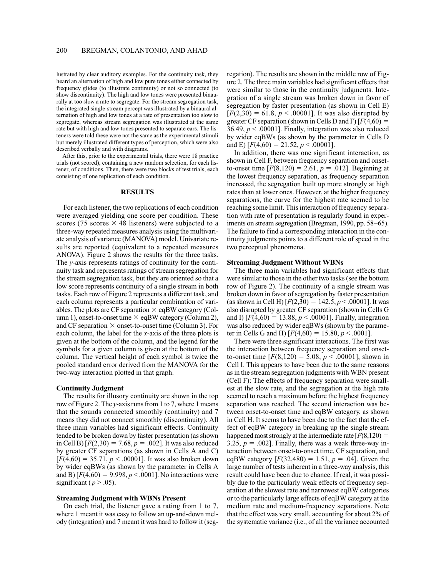lustrated by clear auditory examples. For the continuity task, they heard an alternation of high and low pure tones either connected by frequency glides (to illustrate continuity) or not so connected (to show discontinuity). The high and low tones were presented binaurally at too slow a rate to segregate. For the stream segregation task, the integrated single-stream percept was illustrated by a binaural alternation of high and low tones at a rate of presentation too slow to segregate, whereas stream segregation was illustrated at the same rate but with high and low tones presented to separate ears. The listeners were told these were not the same as the experimental stimuli but merely illustrated different types of perception, which were also described verbally and with diagrams.

After this, prior to the experimental trials, there were 18 practice trials (not scored), containing a new random selection, for each listener, of conditions. Then, there were two blocks of test trials, each consisting of one replication of each condition.

## **RESULTS**

For each listener, the two replications of each condition were averaged yielding one score per condition. These scores (75 scores  $\times$  48 listeners) were subjected to a three-way repeated measures analysis using the multivariate analysis of variance (MANOVA) model. Univariate results are reported (equivalent to a repeated measures ANOVA). Figure 2 shows the results for the three tasks. The *y*-axis represents ratings of continuity for the continuity task and represents ratings of stream segregation for the stream segregation task, but they are oriented so that a low score represents continuity of a single stream in both tasks. Each row of Figure 2 represents a different task, and each column represents a particular combination of variables. The plots are CF separation  $\times$  eqBW category (Column 1), onset-to-onset time  $\times$  eqBW category (Column 2), and CF separation  $\times$  onset-to-onset time (Column 3). For each column, the label for the *x*-axis of the three plots is given at the bottom of the column, and the legend for the symbols for a given column is given at the bottom of the column. The vertical height of each symbol is twice the pooled standard error derived from the MANOVA for the two-way interaction plotted in that graph.

# **Continuity Judgment**

The results for illusory continuity are shown in the top row of Figure 2. The *y*-axis runs from 1 to 7, where 1 means that the sounds connected smoothly (continuity) and 7 means they did not connect smoothly (discontinuity). All three main variables had significant effects. Continuity tended to be broken down by faster presentation (as shown in Cell B)  $[F(2,30) = 7.68, p = .002]$ . It was also reduced by greater CF separations (as shown in Cells A and C)  $[F(4,60) = 35.71, p < .00001]$ . It was also broken down by wider eqBWs (as shown by the parameter in Cells A and B)  $[F(4,60) = 9.998, p < .0001]$ . No interactions were significant ( $p > .05$ ).

# **Streaming Judgment with WBNs Present**

On each trial, the listener gave a rating from 1 to 7, where 1 meant it was easy to follow an up-and-down melody (integration) and 7 meant it was hard to follow it (segregation). The results are shown in the middle row of Figure 2. The three main variables had significant effects that were similar to those in the continuity judgments. Integration of a single stream was broken down in favor of segregation by faster presentation (as shown in Cell E)  $[F(2,30) = 61.8, p < .00001]$ . It was also disrupted by greater CF separation (shown in Cells D and F)  $[F(4,60) =$ 36.49, *p* < .00001]. Finally, integration was also reduced by wider eqBWs (as shown by the parameter in Cells D and E)  $[F(4,60) = 21.52, p < .00001]$ .

In addition, there was one significant interaction, as shown in Cell F, between frequency separation and onsetto-onset time  $[F(8,120) = 2.61, p = .012]$ . Beginning at the lowest frequency separation, as frequency separation increased, the segregation built up more strongly at high rates than at lower ones. However, at the higher frequency separations, the curve for the highest rate seemed to be reaching some limit. This interaction of frequency separation with rate of presentation is regularly found in experiments on stream segregation (Bregman, 1990, pp. 58–65). The failure to find a corresponding interaction in the continuity judgments points to a different role of speed in the two perceptual phenomena.

#### **Streaming Judgment Without WBNs**

The three main variables had significant effects that were similar to those in the other two tasks (see the bottom row of Figure 2). The continuity of a single stream was broken down in favor of segregation by faster presentation  $\text{(as shown in Cell H)} [F(2,30) = 142.5, p < .00001].$  It was also disrupted by greater CF separation (shown in Cells G and I)  $[F(4,60) = 13.88, p < .00001]$ . Finally, integration was also reduced by wider eqBWs (shown by the parameter in Cells G and H)  $[F(4,60) = 15.80, p < .0001]$ .

There were three significant interactions. The first was the interaction between frequency separation and onsetto-onset time  $[F(8,120) = 5.08, p < .00001]$ , shown in Cell I. This appears to have been due to the same reasons as in the stream segregation judgments with WBN present (Cell F): The effects of frequency separation were smallest at the slow rate, and the segregation at the high rate seemed to reach a maximum before the highest frequency separation was reached. The second interaction was between onset-to-onset time and eqBW category, as shown in Cell H. It seems to have been due to the fact that the effect of eqBW category in breaking up the single stream happened most strongly at the intermediate rate  $[F(8,120) =$ 3.25,  $p = .002$ ]. Finally, there was a weak three-way interaction between onset-to-onset time, CF separation, and eqBW category  $[F(32, 480) = 1.51, p = .04]$ . Given the large number of tests inherent in a three-way analysis, this result could have been due to chance. If real, it was possibly due to the particularly weak effects of frequency separation at the slowest rate and narrowest eqBW categories or to the particularly large effects of eqBW category at the medium rate and medium-frequency separations. Note that the effect was very small, accounting for about 2% of the systematic variance (i.e., of all the variance accounted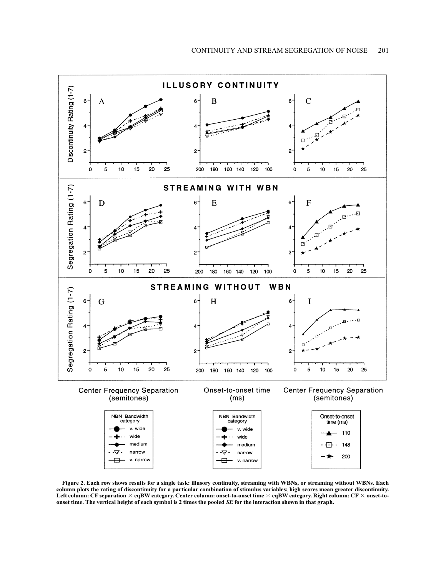

**Figure 2. Each row shows results for a single task: illusory continuity, streaming with WBNs, or streaming without WBNs. Each column plots the rating of discontinuity for a particular combination of stimulus variables; high scores mean greater discontinuity.** Left column: CF separation  $\times$  eqBW category. Center column: onset-to-onset time  $\times$  eqBW category. Right column: CF  $\times$  onset-to**onset time. The vertical height of each symbol is 2 times the pooled** *SE* **for the interaction shown in that graph.**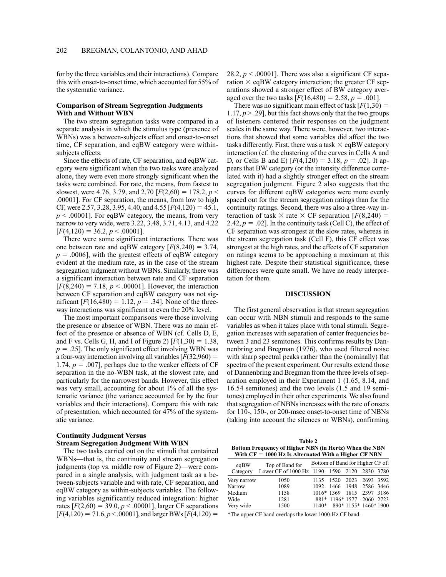for by the three variables and their interactions). Compare this with onset-to-onset time, which accounted for 55% of the systematic variance.

# **Comparison of Stream Segregation Judgments With and Without WBN**

The two stream segregation tasks were compared in a separate analysis in which the stimulus type (presence of WBNs) was a between-subjects effect and onset-to-onset time, CF separation, and eqBW category were withinsubjects effects.

Since the effects of rate, CF separation, and eqBW category were significant when the two tasks were analyzed alone, they were even more strongly significant when the tasks were combined. For rate, the means, from fastest to slowest, were 4.76, 3.79, and 2.70  $[F(2,60) = 178.2, p \leq 178.2]$ .00001]. For CF separation, the means, from low to high CF, were 2.57, 3.28, 3.95, 4.40, and  $4.55$  [ $F(4,120) = 45.1$ ,  $p \leq 0.00001$ . For eqBW category, the means, from very narrow to very wide, were 3.22, 3.48, 3.71, 4.13, and 4.22  $[F(4,120) = 36.2, p < .00001].$ 

There were some significant interactions. There was one between rate and eqBW category  $[F(8,240) = 3.74]$ ,  $p = 0.006$ ], with the greatest effects of eqBW category evident at the medium rate, as in the case of the stream segregation judgment without WBNs. Similarly, there was a significant interaction between rate and CF separation  $[F(8,240) = 7.18, p < .00001]$ . However, the interaction between CF separation and eqBW category was not sigmificant  $[F(16,480) = 1.12, p = .34]$ . None of the threeway interactions was significant at even the 20% level.

The most important comparisons were those involving the presence or absence of WBN. There was no main effect of the presence or absence of WBN (cf. Cells D, E, and F vs. Cells G, H, and I of Figure 2)  $[F(1,30) = 1.38,$  $p = 0.25$ ]. The only significant effect involving WBN was a four-way interaction involving all variables  $[F(32,960) =$ 1.74,  $p = .007$ ], perhaps due to the weaker effects of CF separation in the no-WBN task, at the slowest rate, and particularly for the narrowest bands. However, this effect was very small, accounting for about 1% of all the systematic variance (the variance accounted for by the four variables and their interactions). Compare this with rate of presentation, which accounted for 47% of the systematic variance.

# **Continuity Judgment Versus Stream Segregation Judgment With WBN**

The two tasks carried out on the stimuli that contained WBNs—that is, the continuity and stream segregation judgments (top vs. middle row of Figure 2)—were compared in a single analysis, with judgment task as a between-subjects variable and with rate, CF separation, and eqBW category as within-subjects variables. The following variables significantly reduced integration: higher rates  $[F(2,60) = 39.0, p < .00001]$ , larger CF separations  $[F(4,120) = 71.6, p < .00001]$ , and larger BWs  $[F(4,120) =$ 

28.2,  $p < .00001$ ]. There was also a significant CF separation  $\times$  eqBW category interaction; the greater CF separations showed a stronger effect of BW category averaged over the two tasks  $[F(16,480) = 2.58, p = .001]$ .

There was no significant main effect of task  $[F(1,30) =$ 1.17,  $p > 0.29$ ], but this fact shows only that the two groups of listeners centered their responses on the judgment scales in the same way. There were, however, two interactions that showed that some variables did affect the two tasks differently. First, there was a task  $\times$  eqBW category interaction (cf. the clustering of the curves in Cells A and D, or Cells B and E)  $[F(4,120) = 3.18, p = .02]$ . It appears that BW category (or the intensity difference correlated with it) had a slightly stronger effect on the stream segregation judgment. Figure 2 also suggests that the curves for different eqBW categories were more evenly spaced out for the stream segregation ratings than for the continuity ratings. Second, there was also a three-way interaction of task  $\times$  rate  $\times$  CF separation  $[F(8,240) =$ 2.42,  $p = 0.02$ . In the continuity task (Cell C), the effect of CF separation was strongest at the slow rates, whereas in the stream segregation task (Cell F), this CF effect was strongest at the high rates, and the effects of CF separation on ratings seems to be approaching a maximum at this highest rate. Despite their statistical significance, these differences were quite small. We have no ready interpretation for them.

## **DISCUSSION**

The first general observation is that stream segregation can occur with NBN stimuli and responds to the same variables as when it takes place with tonal stimuli. Segregation increases with separation of center frequencies between 3 and 23 semitones. This confirms results by Dannenbring and Bregman (1976), who used filtered noise with sharp spectral peaks rather than the (nominally) flat spectra of the present experiment. Our results extend those of Dannenbring and Bregman from the three levels of separation employed in their Experiment 1 (1.65, 8.14, and 16.54 semitones) and the two levels (1.5 and 19 semitones) employed in their other experiments. We also found that segregation of NBNs increases with the rate of onsets for 110-, 150-, or 200-msec onset-to-onset time of NBNs (taking into account the silences or WBNs), confirming

**Table 2 Bottom Frequency of Higher NBN (in Hertz) When the NBN** With  $CF = 1000$  Hz Is Alternated With a Higher CF NBN

| eqBW        | Top of Band for                              | Bottom of Band for Higher CF of: |                             |  |  |  |  |  |  |
|-------------|----------------------------------------------|----------------------------------|-----------------------------|--|--|--|--|--|--|
| Category    | Lower CF of 1000 Hz 1190 1590 2120 2830 3780 |                                  |                             |  |  |  |  |  |  |
| Very narrow | 1050                                         |                                  | 1135 1520 2023 2693 3592    |  |  |  |  |  |  |
| Narrow      | 1089                                         |                                  | 1092 1466 1948 2586 3446    |  |  |  |  |  |  |
| Medium      | 1158                                         |                                  | 1016* 1369 1815 2397 3186   |  |  |  |  |  |  |
| Wide        | 1281                                         |                                  | 881* 1196* 1577 2060 2723   |  |  |  |  |  |  |
| Very wide   | 1500                                         |                                  | 1140* 890* 1155* 1460* 1900 |  |  |  |  |  |  |
|             |                                              |                                  |                             |  |  |  |  |  |  |

\*The upper CF band overlaps the lower 1000-Hz CF band.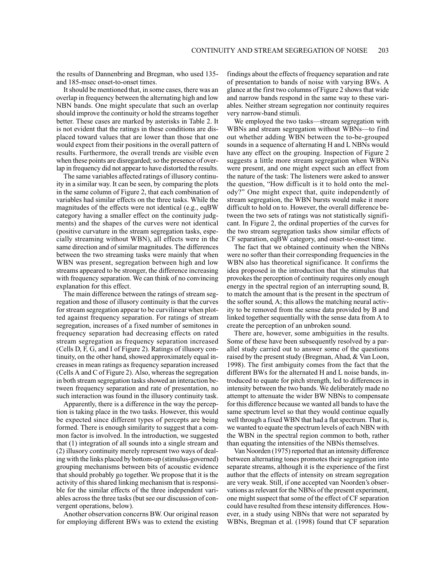the results of Dannenbring and Bregman, who used 135 and 185-msec onset-to-onset times.

It should be mentioned that, in some cases, there was an overlap in frequency between the alternating high and low NBN bands. One might speculate that such an overlap should improve the continuity or hold the streams together better. These cases are marked by asterisks in Table 2. It is not evident that the ratings in these conditions are displaced toward values that are lower than those that one would expect from their positions in the overall pattern of results. Furthermore, the overall trends are visible even when these points are disregarded; so the presence of overlap in frequency did not appear to have distorted the results.

The same variables affected ratings of illusory continuity in a similar way. It can be seen, by comparing the plots in the same column of Figure 2, that each combination of variables had similar effects on the three tasks. While the magnitudes of the effects were not identical (e.g., eqBW category having a smaller effect on the continuity judgments) and the shapes of the curves were not identical (positive curvature in the stream segregation tasks, especially streaming without WBN), all effects were in the same direction and of similar magnitudes. The differences between the two streaming tasks were mainly that when WBN was present, segregation between high and low streams appeared to be stronger, the difference increasing with frequency separation. We can think of no convincing explanation for this effect.

The main difference between the ratings of stream segregation and those of illusory continuity is that the curves for stream segregation appear to be curvilinear when plotted against frequency separation. For ratings of stream segregation, increases of a fixed number of semitones in frequency separation had decreasing effects on rated stream segregation as frequency separation increased (Cells D, F, G, and I of Figure 2). Ratings of illusory continuity, on the other hand, showed approximately equal increases in mean ratings as frequency separation increased (Cells A and C of Figure 2). Also, whereas the segregation in both stream segregation tasks showed an interaction between frequency separation and rate of presentation, no such interaction was found in the illusory continuity task.

Apparently, there is a difference in the way the perception is taking place in the two tasks. However, this would be expected since different types of percepts are being formed. There is enough similarity to suggest that a common factor is involved. In the introduction, we suggested that (1) integration of all sounds into a single stream and (2) illusory continuity merely represent two ways of dealing with the links placed by bottom-up (stimulus-governed) grouping mechanisms between bits of acoustic evidence that should probably go together. We propose that it is the activity of this shared linking mechanism that is responsible for the similar effects of the three independent variables across the three tasks (but see our discussion of convergent operations, below).

Another observation concerns BW. Our original reason for employing different BWs was to extend the existing findings about the effects of frequency separation and rate of presentation to bands of noise with varying BWs. A glance at the first two columns of Figure 2 shows that wide and narrow bands respond in the same way to these variables. Neither stream segregation nor continuity requires very narrow-band stimuli.

We employed the two tasks—stream segregation with WBNs and stream segregation without WBNs—to find out whether adding WBN between the to-be-grouped sounds in a sequence of alternating H and L NBNs would have any effect on the grouping. Inspection of Figure 2 suggests a little more stream segregation when WBNs were present, and one might expect such an effect from the nature of the task: The listeners were asked to answer the question, "How difficult is it to hold onto the melody?" One might expect that, quite independently of stream segregation, the WBN bursts would make it more difficult to hold on to. However, the overall difference between the two sets of ratings was not statistically significant. In Figure 2, the ordinal properties of the curves for the two stream segregation tasks show similar effects of CF separation, eqBW category, and onset-to-onset time.

The fact that we obtained continuity when the NBNs were no softer than their corresponding frequencies in the WBN also has theoretical significance. It confirms the idea proposed in the introduction that the stimulus that provokes the perception of continuity requires only enough energy in the spectral region of an interrupting sound, B, to match the amount that is the present in the spectrum of the softer sound, A; this allows the matching neural activity to be removed from the sense data provided by B and linked together sequentially with the sense data from A to create the perception of an unbroken sound.

There are, however, some ambiguities in the results. Some of these have been subsequently resolved by a parallel study carried out to answer some of the questions raised by the present study (Bregman, Ahad, & Van Loon, 1998). The first ambiguity comes from the fact that the different BWs for the alternated H and L noise bands, introduced to equate for pitch strength, led to differences in intensity between the two bands. We deliberately made no attempt to attenuate the wider BW NBNs to compensate for this difference because we wanted all bands to have the same spectrum level so that they would continue equally well through a fixed WBN that had a flat spectrum. That is, we wanted to equate the spectrum levels of each NBN with the WBN in the spectral region common to both, rather than equating the intensities of the NBNs themselves.

Van Noorden (1975) reported that an intensity difference between alternating tones promotes their segregation into separate streams, although it is the experience of the first author that the effects of intensity on stream segregation are very weak. Still, if one accepted van Noorden's observations as relevant for the NBNs of the present experiment, one might suspect that some of the effect of CF separation could have resulted from these intensity differences. However, in a study using NBNs that were not separated by WBNs, Bregman et al. (1998) found that CF separation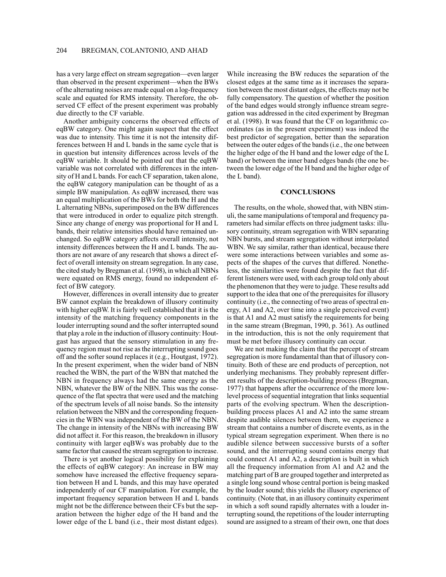has a very large effect on stream segregation—even larger than observed in the present experiment—when the BWs of the alternating noises are made equal on a log-frequency scale and equated for RMS intensity. Therefore, the observed CF effect of the present experiment was probably due directly to the CF variable.

Another ambiguity concerns the observed effects of eqBW category. One might again suspect that the effect was due to intensity. This time it is not the intensity differences between H and L bands in the same cycle that is in question but intensity differences across levels of the eqBW variable. It should be pointed out that the eqBW variable was not correlated with differences in the intensity of H and L bands. For each CF separation, taken alone, the eqBW category manipulation can be thought of as a simple BW manipulation. As eqBW increased, there was an equal multiplication of the BWs for both the H and the L alternating NBNs, superimposed on the BW differences that were introduced in order to equalize pitch strength. Since any change of energy was proportional for H and L bands, their relative intensities should have remained unchanged. So eqBW category affects overall intensity, not intensity differences between the H and L bands. The authors are not aware of any research that shows a direct effect of overall intensity on stream segregation. In any case, the cited study by Bregman et al. (1998), in which all NBNs were equated on RMS energy, found no independent effect of BW category.

However, differences in overall intensity due to greater BW cannot explain the breakdown of illusory continuity with higher eqBW. It is fairly well established that it is the intensity of the matching frequency components in the louder interrupting sound and the softer interrupted sound that play a role in the induction of illusory continuity: Houtgast has argued that the sensory stimulation in any frequency region must not rise as the interrupting sound goes off and the softer sound replaces it (e.g., Houtgast, 1972). In the present experiment, when the wider band of NBN reached the WBN, the part of the WBN that matched the NBN in frequency always had the same energy as the NBN, whatever the BW of the NBN. This was the consequence of the flat spectra that were used and the matching of the spectrum levels of all noise bands. So the intensity relation between the NBN and the corresponding frequencies in the WBN was independent of the BW of the NBN. The change in intensity of the NBNs with increasing BW did not affect it. For this reason, the breakdown in illusory continuity with larger eqBWs was probably due to the same factor that caused the stream segregation to increase.

There is yet another logical possibility for explaining the effects of eqBW category: An increase in BW may somehow have increased the effective frequency separation between H and L bands, and this may have operated independently of our CF manipulation. For example, the important frequency separation between H and L bands might not be the difference between their CFs but the separation between the higher edge of the H band and the lower edge of the L band (i.e., their most distant edges).

While increasing the BW reduces the separation of the closest edges at the same time as it increases the separation between the most distant edges, the effects may not be fully compensatory. The question of whether the position of the band edges would strongly influence stream segregation was addressed in the cited experiment by Bregman et al. (1998). It was found that the CF on logarithmic coordinates (as in the present experiment) was indeed the best predictor of segregation, better than the separation between the outer edges of the bands (i.e., the one between the higher edge of the H band and the lower edge of the L band) or between the inner band edges bands (the one between the lower edge of the H band and the higher edge of the L band).

# **CONCLUSIONS**

The results, on the whole, showed that, with NBN stimuli, the same manipulations of temporal and frequency parameters had similar effects on three judgment tasks: illusory continuity, stream segregation with WBN separating NBN bursts, and stream segregation without interpolated WBN. We say similar, rather than identical, because there were some interactions between variables and some aspects of the shapes of the curves that differed. Nonetheless, the similarities were found despite the fact that different listeners were used, with each group told only about the phenomenon that they were to judge. These results add support to the idea that one of the prerequisites for illusory continuity (i.e., the connecting of two areas of spectral energy, A1 and A2, over time into a single perceived event) is that A1 and A2 must satisfy the requirements for being in the same stream (Bregman, 1990, p. 361). As outlined in the introduction, this is not the only requirement that must be met before illusory continuity can occur.

We are not making the claim that the percept of stream segregation is more fundamental than that of illusory continuity. Both of these are end products of perception, not underlying mechanisms. They probably represent different results of the description-building process (Bregman, 1977) that happens after the occurrence of the more lowlevel process of sequential integration that links sequential parts of the evolving spectrum. When the descriptionbuilding process places A1 and A2 into the same stream despite audible silences between them, we experience a stream that contains a number of discrete events, as in the typical stream segregation experiment. When there is no audible silence between successive bursts of a softer sound, and the interrupting sound contains energy that could connect A1 and A2, a description is built in which all the frequency information from A1 and A2 and the matching part of B are grouped together and interpreted as a single long sound whose central portion is being masked by the louder sound; this yields the illusory experience of continuity. (Note that, in an illusory continuity experiment in which a soft sound rapidly alternates with a louder interrupting sound, the repetitions of the louder interrupting sound are assigned to a stream of their own, one that does